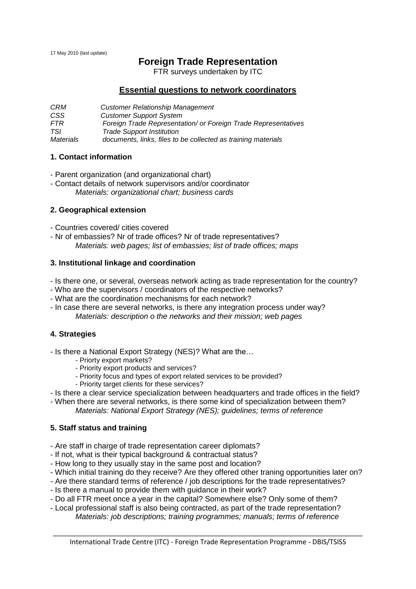17 May 2010 (last update)

# **Foreign Trade Representation**

FTR surveys undertaken by ITC

### **Essential questions to network coordinators**

*CRM Customer Relationship Management CSS Customer Support System FTR Foreign Trade Representation/ or Foreign Trade Representatives TSI Trade Support Institution Materials documents, links, files to be collected as training materials*

#### **1. Contact information**

- Parent organization (and organizational chart)
- Contact details of network supervisors and/or coordinator *Materials: organizational chart; business cards*

#### **2. Geographical extension**

- Countries covered/ cities covered
- Nr of embassies? Nr of trade offices? Nr of trade representatives? *Materials: web pages; list of embassies; list of trade offices; maps*

#### **3. Institutional linkage and coordination**

- Is there one, or several, overseas network acting as trade representation for the country?
- Who are the supervisors / coordinators of the respective networks?
- What are the coordination mechanisms for each network?
- In case there are several networks, is there any integration process under way? *Materials: description o the networks and their mission; web pages*

#### **4. Strategies**

- Is there a National Export Strategy (NES)? What are the…

- Priorty export markets?
- Priority export products and services?
- Priority focus and types of export related services to be provided?
- Priority target clients for these services?

- Is there a clear service specialization between headquarters and trade offices in the field?

- When there are several networks, is there some kind of specialization between them? *Materials: National Export Strategy (NES); guidelines; terms of reference*

#### **5. Staff status and training**

- Are staff in charge of trade representation career diplomats?
- If not, what is their typical background & contractual status?
- How long to they usually stay in the same post and location?
- Which initial training do they receive? Are they offered other traning opportunities later on?
- Are there standard terms of reference / job descriptions for the trade representatives?
- Is there a manual to provide them with guidance in their work?
- Do all FTR meet once a year in the capital? Somewhere else? Only some of them?
- Local professional staff is also being contracted, as part of the trade representation? *Materials: job descriptions; training programmes; manuals; terms of reference*